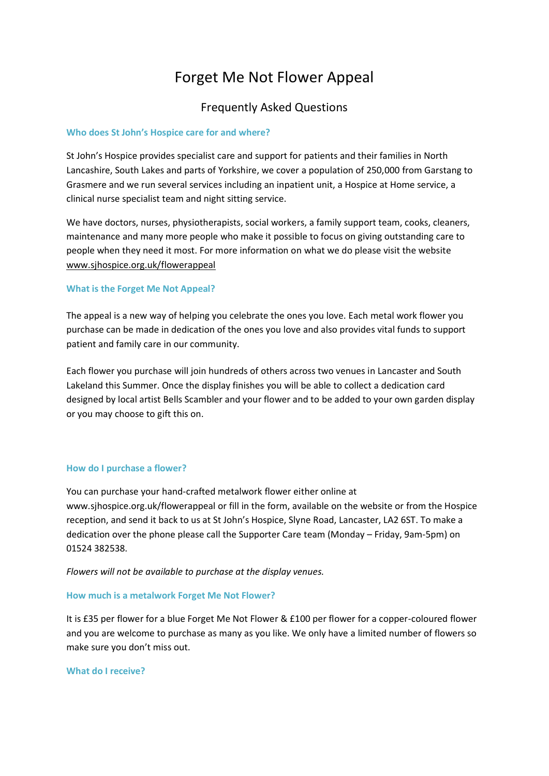# Forget Me Not Flower Appeal

## Frequently Asked Questions

#### **Who does St John's Hospice care for and where?**

St John's Hospice provides specialist care and support for patients and their families in North Lancashire, South Lakes and parts of Yorkshire, we cover a population of 250,000 from Garstang to Grasmere and we run several services including an inpatient unit, a Hospice at Home service, a clinical nurse specialist team and night sitting service.

We have doctors, nurses, physiotherapists, social workers, a family support team, cooks, cleaners, maintenance and many more people who make it possible to focus on giving outstanding care to people when they need it most. For more information on what we do please visit the website [www.sjhospice.org.uk/flowerappeal](http://www.sjhospice.org.uk/)

### **What is the Forget Me Not Appeal?**

The appeal is a new way of helping you celebrate the ones you love. Each metal work flower you purchase can be made in dedication of the ones you love and also provides vital funds to support patient and family care in our community.

Each flower you purchase will join hundreds of others across two venues in Lancaster and South Lakeland this Summer. Once the display finishes you will be able to collect a dedication card designed by local artist Bells Scambler and your flower and to be added to your own garden display or you may choose to gift this on.

#### **How do I purchase a flower?**

You can purchase your hand-crafted metalwork flower either online at www.sjhospice.org.uk/flowerappeal or fill in the form, available on the website or from the Hospice reception, and send it back to us at St John's Hospice, Slyne Road, Lancaster, LA2 6ST. To make a dedication over the phone please call the Supporter Care team (Monday – Friday, 9am-5pm) on 01524 382538.

*Flowers will not be available to purchase at the display venues.*

#### **How much is a metalwork Forget Me Not Flower?**

It is £35 per flower for a blue Forget Me Not Flower & £100 per flower for a copper-coloured flower and you are welcome to purchase as many as you like. We only have a limited number of flowers so make sure you don't miss out.

#### **What do I receive?**